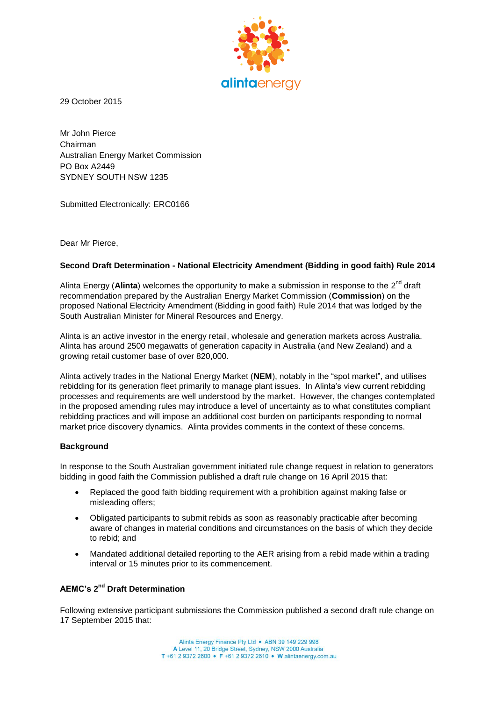

29 October 2015

Mr John Pierce Chairman Australian Energy Market Commission PO Box A2449 SYDNEY SOUTH NSW 1235

Submitted Electronically: ERC0166

Dear Mr Pierce,

## **Second Draft Determination - National Electricity Amendment (Bidding in good faith) Rule 2014**

Alinta Energy (Alinta) welcomes the opportunity to make a submission in response to the 2<sup>nd</sup> draft recommendation prepared by the Australian Energy Market Commission (**Commission**) on the proposed National Electricity Amendment (Bidding in good faith) Rule 2014 that was lodged by the South Australian Minister for Mineral Resources and Energy.

Alinta is an active investor in the energy retail, wholesale and generation markets across Australia. Alinta has around 2500 megawatts of generation capacity in Australia (and New Zealand) and a growing retail customer base of over 820,000.

Alinta actively trades in the National Energy Market (**NEM**), notably in the "spot market", and utilises rebidding for its generation fleet primarily to manage plant issues. In Alinta's view current rebidding processes and requirements are well understood by the market. However, the changes contemplated in the proposed amending rules may introduce a level of uncertainty as to what constitutes compliant rebidding practices and will impose an additional cost burden on participants responding to normal market price discovery dynamics. Alinta provides comments in the context of these concerns.

## **Background**

In response to the South Australian government initiated rule change request in relation to generators bidding in good faith the Commission published a draft rule change on 16 April 2015 that:

- Replaced the good faith bidding requirement with a prohibition against making false or misleading offers;
- Obligated participants to submit rebids as soon as reasonably practicable after becoming aware of changes in material conditions and circumstances on the basis of which they decide to rebid; and
- Mandated additional detailed reporting to the AER arising from a rebid made within a trading interval or 15 minutes prior to its commencement.

# **AEMC's 2 nd Draft Determination**

Following extensive participant submissions the Commission published a second draft rule change on 17 September 2015 that: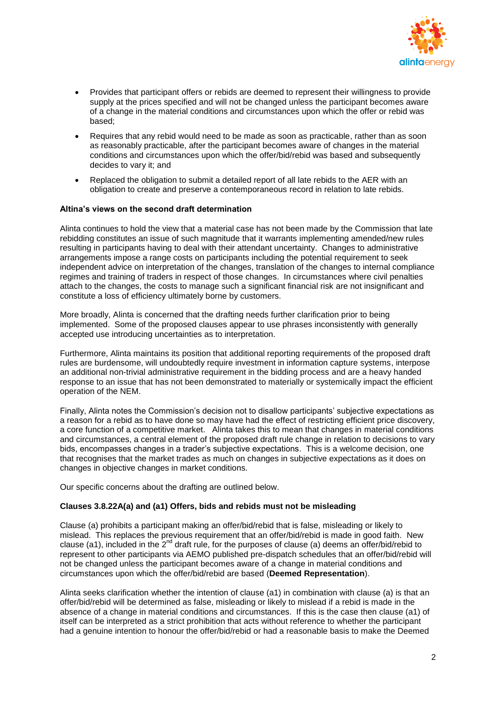

- Provides that participant offers or rebids are deemed to represent their willingness to provide supply at the prices specified and will not be changed unless the participant becomes aware of a change in the material conditions and circumstances upon which the offer or rebid was based;
- Requires that any rebid would need to be made as soon as practicable, rather than as soon as reasonably practicable, after the participant becomes aware of changes in the material conditions and circumstances upon which the offer/bid/rebid was based and subsequently decides to vary it; and
- Replaced the obligation to submit a detailed report of all late rebids to the AER with an obligation to create and preserve a contemporaneous record in relation to late rebids.

# **Altina's views on the second draft determination**

Alinta continues to hold the view that a material case has not been made by the Commission that late rebidding constitutes an issue of such magnitude that it warrants implementing amended/new rules resulting in participants having to deal with their attendant uncertainty. Changes to administrative arrangements impose a range costs on participants including the potential requirement to seek independent advice on interpretation of the changes, translation of the changes to internal compliance regimes and training of traders in respect of those changes. In circumstances where civil penalties attach to the changes, the costs to manage such a significant financial risk are not insignificant and constitute a loss of efficiency ultimately borne by customers.

More broadly, Alinta is concerned that the drafting needs further clarification prior to being implemented. Some of the proposed clauses appear to use phrases inconsistently with generally accepted use introducing uncertainties as to interpretation.

Furthermore, Alinta maintains its position that additional reporting requirements of the proposed draft rules are burdensome, will undoubtedly require investment in information capture systems, interpose an additional non-trivial administrative requirement in the bidding process and are a heavy handed response to an issue that has not been demonstrated to materially or systemically impact the efficient operation of the NEM.

Finally, Alinta notes the Commission's decision not to disallow participants' subjective expectations as a reason for a rebid as to have done so may have had the effect of restricting efficient price discovery, a core function of a competitive market. Alinta takes this to mean that changes in material conditions and circumstances, a central element of the proposed draft rule change in relation to decisions to vary bids, encompasses changes in a trader's subjective expectations. This is a welcome decision, one that recognises that the market trades as much on changes in subjective expectations as it does on changes in objective changes in market conditions.

Our specific concerns about the drafting are outlined below.

#### **Clauses 3.8.22A(a) and (a1) Offers, bids and rebids must not be misleading**

Clause (a) prohibits a participant making an offer/bid/rebid that is false, misleading or likely to mislead. This replaces the previous requirement that an offer/bid/rebid is made in good faith. New clause (a1), included in the  $2^{nd}$  draft rule, for the purposes of clause (a) deems an offer/bid/rebid to represent to other participants via AEMO published pre-dispatch schedules that an offer/bid/rebid will not be changed unless the participant becomes aware of a change in material conditions and circumstances upon which the offer/bid/rebid are based (**Deemed Representation**).

Alinta seeks clarification whether the intention of clause (a1) in combination with clause (a) is that an offer/bid/rebid will be determined as false, misleading or likely to mislead if a rebid is made in the absence of a change in material conditions and circumstances. If this is the case then clause (a1) of itself can be interpreted as a strict prohibition that acts without reference to whether the participant had a genuine intention to honour the offer/bid/rebid or had a reasonable basis to make the Deemed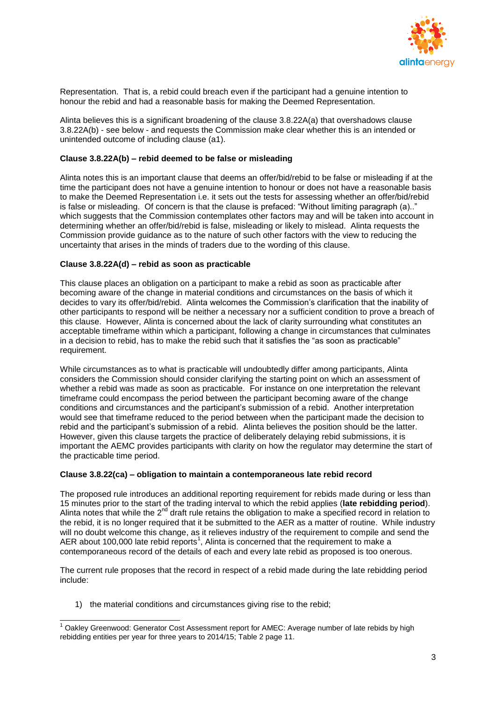

Representation. That is, a rebid could breach even if the participant had a genuine intention to honour the rebid and had a reasonable basis for making the Deemed Representation.

Alinta believes this is a significant broadening of the clause 3.8.22A(a) that overshadows clause 3.8.22A(b) - see below - and requests the Commission make clear whether this is an intended or unintended outcome of including clause (a1).

### **Clause 3.8.22A(b) – rebid deemed to be false or misleading**

Alinta notes this is an important clause that deems an offer/bid/rebid to be false or misleading if at the time the participant does not have a genuine intention to honour or does not have a reasonable basis to make the Deemed Representation i.e. it sets out the tests for assessing whether an offer/bid/rebid is false or misleading. Of concern is that the clause is prefaced: "Without limiting paragraph (a).." which suggests that the Commission contemplates other factors may and will be taken into account in determining whether an offer/bid/rebid is false, misleading or likely to mislead. Alinta requests the Commission provide guidance as to the nature of such other factors with the view to reducing the uncertainty that arises in the minds of traders due to the wording of this clause.

### **Clause 3.8.22A(d) – rebid as soon as practicable**

This clause places an obligation on a participant to make a rebid as soon as practicable after becoming aware of the change in material conditions and circumstances on the basis of which it decides to vary its offer/bid/rebid. Alinta welcomes the Commission's clarification that the inability of other participants to respond will be neither a necessary nor a sufficient condition to prove a breach of this clause. However, Alinta is concerned about the lack of clarity surrounding what constitutes an acceptable timeframe within which a participant, following a change in circumstances that culminates in a decision to rebid, has to make the rebid such that it satisfies the "as soon as practicable" requirement.

While circumstances as to what is practicable will undoubtedly differ among participants, Alinta considers the Commission should consider clarifying the starting point on which an assessment of whether a rebid was made as soon as practicable. For instance on one interpretation the relevant timeframe could encompass the period between the participant becoming aware of the change conditions and circumstances and the participant's submission of a rebid. Another interpretation would see that timeframe reduced to the period between when the participant made the decision to rebid and the participant's submission of a rebid. Alinta believes the position should be the latter. However, given this clause targets the practice of deliberately delaying rebid submissions, it is important the AEMC provides participants with clarity on how the regulator may determine the start of the practicable time period.

#### **Clause 3.8.22(ca) – obligation to maintain a contemporaneous late rebid record**

The proposed rule introduces an additional reporting requirement for rebids made during or less than 15 minutes prior to the start of the trading interval to which the rebid applies (**late rebidding period**). Alinta notes that while the 2<sup>nd</sup> draft rule retains the obligation to make a specified record in relation to the rebid, it is no longer required that it be submitted to the AER as a matter of routine. While industry will no doubt welcome this change, as it relieves industry of the requirement to compile and send the AER about 100,000 late rebid reports<sup>1</sup>, Alinta is concerned that the requirement to make a contemporaneous record of the details of each and every late rebid as proposed is too onerous.

The current rule proposes that the record in respect of a rebid made during the late rebidding period include:

1) the material conditions and circumstances giving rise to the rebid;

<sup>&</sup>lt;sup>1</sup> Oaklev Greenwood: Generator Cost Assessment report for AMEC: Average number of late rebids by high rebidding entities per year for three years to 2014/15; Table 2 page 11.